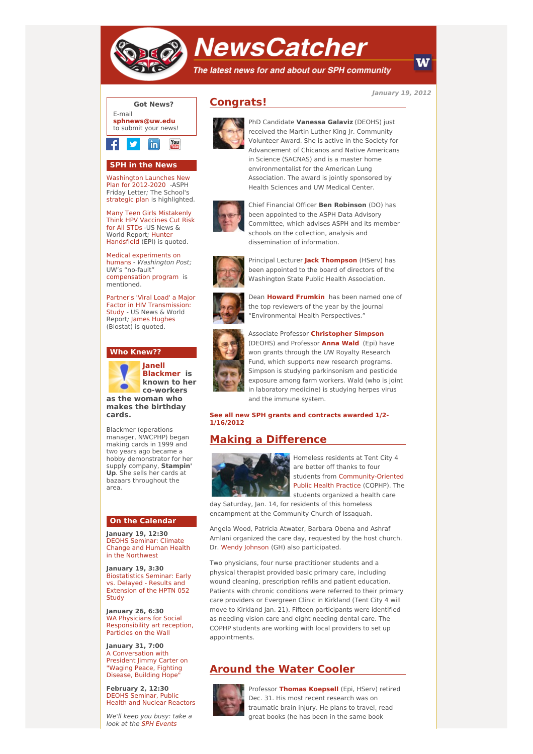

# **NewsCatcher**

The latest news for and about our SPH community

**January 19, 2012**



## **SPH in the News**

[Washington](http://engage.washington.edu/site/R?i=DpTCsex9IP5j6GXLlxGEQQ) Launches New Plan for 2012-2020 -ASPH Friday Letter; The School's [strategic](http://engage.washington.edu/site/R?i=g7QW1etgAUSZzpECZ3AOYA) plan is highlighted.

Many Teen Girls [Mistakenly](http://engage.washington.edu/site/R?i=QgQM7JZm1a1WB7VUaqgygg) Think HPV Vaccines Cut Risk for All STDs -US News & World Report; Hunter [Handsfield](http://engage.washington.edu/site/R?i=yFns6z-pOm45P1Pjith5JQ) (EPI) is quoted.

Medical [experiments](http://engage.washington.edu/site/R?i=bgT1nYUqXK4mmGVxT0pteQ) on humans - Washington Post; UW's "no-fault" [compensation](http://engage.washington.edu/site/R?i=vjLYcY-vukWOTJERRCEFcA) program is mentioned.

Partner's 'Viral Load' a Major Factor in HIV [Transmission:](http://engage.washington.edu/site/R?i=E3QJAeSgOS1Em16mY3dffw) Study - US News & World Report; James [Hughes](http://engage.washington.edu/site/R?i=2eUHSwYNl3bBpEbg39OEow) (Biostat) is quoted.

#### **Who Knew??**



**Janell [Blackmer](http://engage.washington.edu/site/R?i=vzb-0Yd8tuIMjnx48ZtEMQ) is known to her co-workers**

**as the woman who makes the birthday cards.**

Blackmer (operations manager, NWCPHP) began making cards in 1999 and two years ago became a hobby demonstrator for her supply company, **Stampin' Up**. She sells her cards at bazaars throughout the area.

## **On the Calendar**

**January 19, 12:30** DEOHS Seminar: Climate Change and Human Health in the [Northwest](http://engage.washington.edu/site/R?i=vobgUXkDxWVCi-JPFQGk2w)

**January 19, 3:30** [Biostatistics](http://engage.washington.edu/site/R?i=R3Oj80Lkc_8rrpQ0MyiDOQ) Seminar: Early vs. Delayed - Results and Extension of the HPTN 052 **Study** 

**January 26, 6:30** WA Physicians for Social [Responsibility](http://engage.washington.edu/site/R?i=e-tT69Wnx0rPmiOjoz0kqA) art reception, Particles on the Wall

**January 31, 7:00** A [Conversation](http://engage.washington.edu/site/R?i=OOTXUQEgv1TUH6YubJ_Cow) with President Jimmy Carter on "Waging Peace, Fighting Disease, Building Hope"

**February 2, 12:30** DEOHS [Seminar,](http://engage.washington.edu/site/R?i=0kHHS21Vj1UHpy78X2IwBQ) Public Health and Nuclear Reactors

We'll keep you busy: take a look at the SPH [Events](http://engage.washington.edu/site/R?i=qPco63p3pfzpknAPY3mTtw)





PhD Candidate **Vanessa Galaviz** (DEOHS) just received the Martin Luther King Jr. Community Volunteer Award. She is active in the Society for Advancement of Chicanos and Native Americans in Science (SACNAS) and is a master home environmentalist for the American Lung Association. The award is jointly sponsored by Health Sciences and UW Medical Center.



Chief Financial Officer **Ben Robinson** (DO) has been appointed to the ASPH Data Advisory Committee, which advises ASPH and its member schools on the collection, analysis and dissemination of information.



Principal Lecturer **Jack [Thompson](http://engage.washington.edu/site/R?i=NA90joY7FJZoMge9ceKcZQ)** (HServ) has been appointed to the board of directors of the Washington State Public Health Association.



Dean **Howard [Frumkin](http://engage.washington.edu/site/R?i=6OiSKBTCbfqo5AUSjZC-5w)** has been named one of the top reviewers of the year by the journal "Environmental Health Perspectives."



Associate Professor **[Christopher](http://engage.washington.edu/site/R?i=Xp_653dV0QROnIoQ9ixE-Q) Simpson** (DEOHS) and Professor **[Anna](http://engage.washington.edu/site/R?i=4fDNSmBHJJhL-oPuTPIf3Q) Wald** (Epi) have won grants through the UW Royalty Research Fund, which supports new research programs. Simpson is studying parkinsonism and pesticide exposure among farm workers. Wald (who is joint in laboratory medicine) is studying herpes virus and the immune system.

**See all new SPH grants and [contracts](http://engage.washington.edu/site/R?i=8GUAImWbnWExthVC2kWz0g) awarded 1/2- 1/16/2012**

## **Making a Difference**



Homeless residents at Tent City 4 are better off thanks to four students from [Community-Oriented](http://engage.washington.edu/site/R?i=UeRx3UW1IVonmVNaXKZO7A) Public Health Practice (COPHP). The students organized a health care

day Saturday, Jan. 14, for residents of this homeless encampment at the Community Church of Issaquah.

Angela Wood, Patricia Atwater, Barbara Obena and Ashraf Amlani organized the care day, requested by the host church. Dr. Wendy [Johnson](http://engage.washington.edu/site/R?i=isnJ7QKN5cM8K0RcQ9__Pw) (GH) also participated.

Two physicians, four nurse practitioner students and a physical therapist provided basic primary care, including wound cleaning, prescription refills and patient education. Patients with chronic conditions were referred to their primary care providers or Evergreen Clinic in Kirkland (Tent City 4 will move to Kirkland Jan. 21). Fifteen participants were identified as needing vision care and eight needing dental care. The COPHP students are working with local providers to set up appointments.

# **Around the Water Cooler**



Professor **Thomas [Koepsell](http://engage.washington.edu/site/R?i=DRklUigyz6N5Q0_tTMOkXA)** (Epi, HServ) retired Dec. 31. His most recent research was on traumatic brain injury. He plans to travel, read great books (he has been in the same book

W